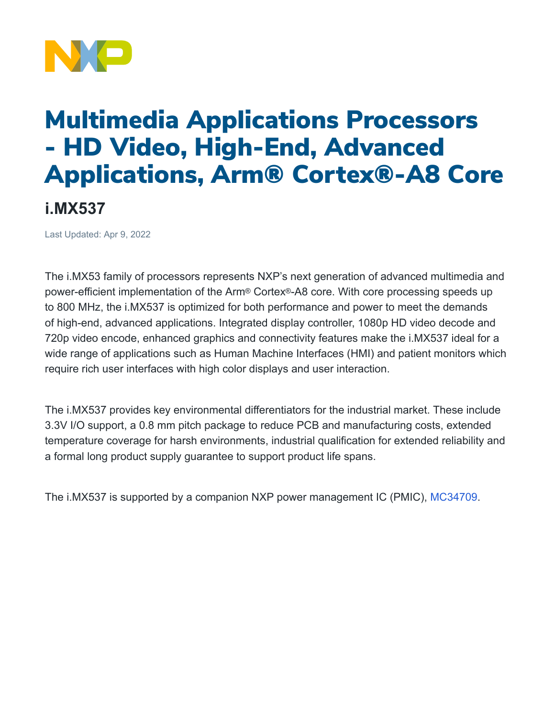

## Multimedia Applications Processors - HD Video, High-End, Advanced Applications, Arm® Cortex®-A8 Core

**i.MX537** 

Last Updated: Apr 9, 2022

The i.MX53 family of processors represents NXP's next generation of advanced multimedia and power-efficient implementation of the Arm® Cortex®-A8 core. With core processing speeds up to 800 MHz, the i.MX537 is optimized for both performance and power to meet the demands of high-end, advanced applications. Integrated display controller, 1080p HD video decode and 720p video encode, enhanced graphics and connectivity features make the i.MX537 ideal for a wide range of applications such as Human Machine Interfaces (HMI) and patient monitors which require rich user interfaces with high color displays and user interaction.

The i.MX537 provides key environmental differentiators for the industrial market. These include 3.3V I/O support, a 0.8 mm pitch package to reduce PCB and manufacturing costs, extended temperature coverage for harsh environments, industrial qualification for extended reliability and a formal long product supply guarantee to support product life spans.

The i.MX537 is supported by a companion NXP power management IC (PMIC), [MC34709.](https://www.nxp.com/products/power-management/pmics-and-sbcs/pmics/power-management-for-i-mx50-53-processors:MC34709)